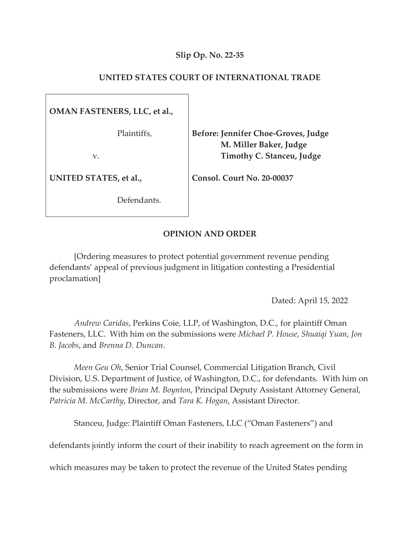## **Slip Op. No. 22-35**

# **UNITED STATES COURT OF INTERNATIONAL TRADE**

**OMAN FASTENERS, LLC, et al.,** 

Plaintiffs,

v.

**UNITED STATES, et al.,**

Defendants.

**Before: Jennifer Choe-Groves, Judge M. Miller Baker, Judge Timothy C. Stanceu, Judge**

**Consol. Court No. 20-00037** 

## **OPINION AND ORDER**

[Ordering measures to protect potential government revenue pending defendants' appeal of previous judgment in litigation contesting a Presidential proclamation]

Dated: April 15, 2022

*Andrew Caridas*, Perkins Coie, LLP, of Washington, D.C., for plaintiff Oman Fasteners, LLC. With him on the submissions were *Michael P. House*, *Shuaiqi Yuan*, *Jon B. Jacobs*, and *Brenna D. Duncan*.

*Meen Geu Oh*, Senior Trial Counsel, Commercial Litigation Branch, Civil Division, U.S. Department of Justice, of Washington, D.C., for defendants. With him on the submissions were *Brian M. Boynton*, Principal Deputy Assistant Attorney General, *Patricia M. McCarthy*, Director, and *Tara K. Hogan*, Assistant Director.

Stanceu, Judge: Plaintiff Oman Fasteners, LLC ("Oman Fasteners") and

defendants jointly inform the court of their inability to reach agreement on the form in

which measures may be taken to protect the revenue of the United States pending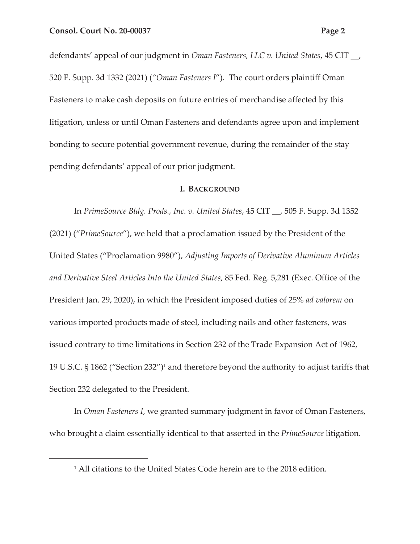defendants' appeal of our judgment in *Oman Fasteners, LLC v. United States*, 45 CIT \_\_, 520 F. Supp. 3d 1332 (2021) (*"Oman Fasteners I*"). The court orders plaintiff Oman Fasteners to make cash deposits on future entries of merchandise affected by this litigation, unless or until Oman Fasteners and defendants agree upon and implement bonding to secure potential government revenue, during the remainder of the stay pending defendants' appeal of our prior judgment.

### **I. BACKGROUND**

In *PrimeSource Bldg. Prods., Inc. v. United States*, 45 CIT \_\_, 505 F. Supp. 3d 1352 (2021) ("*PrimeSource*"), we held that a proclamation issued by the President of the United States ("Proclamation 9980"), *Adjusting Imports of Derivative Aluminum Articles and Derivative Steel Articles Into the United States*, 85 Fed. Reg. 5,281 (Exec. Office of the President Jan. 29, 2020), in which the President imposed duties of 25% *ad valorem* on various imported products made of steel, including nails and other fasteners, was issued contrary to time limitations in Section 232 of the Trade Expansion Act of 1962, 19 U.S.C. § 1862 ("Section 232")1 and therefore beyond the authority to adjust tariffs that Section 232 delegated to the President.

In *Oman Fasteners I*, we granted summary judgment in favor of Oman Fasteners, who brought a claim essentially identical to that asserted in the *PrimeSource* litigation.

<sup>&</sup>lt;sup>1</sup> All citations to the United States Code herein are to the 2018 edition.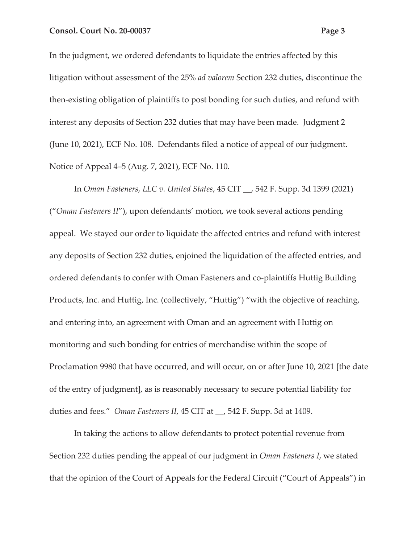In the judgment, we ordered defendants to liquidate the entries affected by this litigation without assessment of the 25% *ad valorem* Section 232 duties, discontinue the then-existing obligation of plaintiffs to post bonding for such duties, and refund with interest any deposits of Section 232 duties that may have been made. Judgment 2 (June 10, 2021), ECF No. 108. Defendants filed a notice of appeal of our judgment. Notice of Appeal 4–5 (Aug. 7, 2021), ECF No. 110.

In *Oman Fasteners, LLC v. United States*, 45 CIT \_\_, 542 F. Supp. 3d 1399 (2021) ("*Oman Fasteners II*"), upon defendants' motion, we took several actions pending appeal. We stayed our order to liquidate the affected entries and refund with interest any deposits of Section 232 duties, enjoined the liquidation of the affected entries, and ordered defendants to confer with Oman Fasteners and co-plaintiffs Huttig Building Products, Inc. and Huttig, Inc. (collectively, "Huttig") "with the objective of reaching, and entering into, an agreement with Oman and an agreement with Huttig on monitoring and such bonding for entries of merchandise within the scope of Proclamation 9980 that have occurred, and will occur, on or after June 10, 2021 [the date of the entry of judgment], as is reasonably necessary to secure potential liability for duties and fees." *Oman Fasteners II*, 45 CIT at \_\_, 542 F. Supp. 3d at 1409.

In taking the actions to allow defendants to protect potential revenue from Section 232 duties pending the appeal of our judgment in *Oman Fasteners I*, we stated that the opinion of the Court of Appeals for the Federal Circuit ("Court of Appeals") in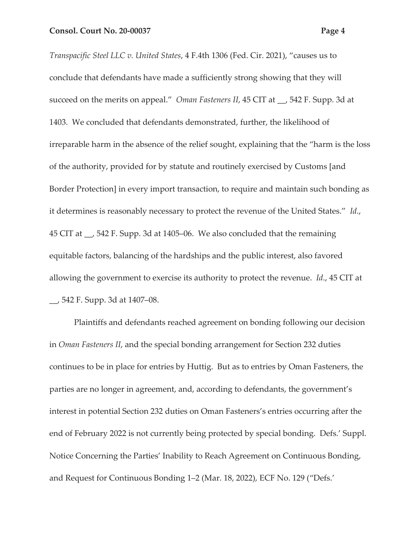*Transpacific Steel LLC v. United States*, 4 F.4th 1306 (Fed. Cir. 2021), "causes us to conclude that defendants have made a sufficiently strong showing that they will succeed on the merits on appeal." *Oman Fasteners II*, 45 CIT at \_\_, 542 F. Supp. 3d at 1403. We concluded that defendants demonstrated, further, the likelihood of irreparable harm in the absence of the relief sought, explaining that the "harm is the loss of the authority, provided for by statute and routinely exercised by Customs [and Border Protection] in every import transaction, to require and maintain such bonding as it determines is reasonably necessary to protect the revenue of the United States." *Id*., 45 CIT at \_\_, 542 F. Supp. 3d at 1405–06. We also concluded that the remaining equitable factors, balancing of the hardships and the public interest, also favored allowing the government to exercise its authority to protect the revenue. *Id*., 45 CIT at \_\_, 542 F. Supp. 3d at 1407–08.

Plaintiffs and defendants reached agreement on bonding following our decision in *Oman Fasteners II*, and the special bonding arrangement for Section 232 duties continues to be in place for entries by Huttig. But as to entries by Oman Fasteners, the parties are no longer in agreement, and, according to defendants, the government's interest in potential Section 232 duties on Oman Fasteners's entries occurring after the end of February 2022 is not currently being protected by special bonding. Defs.' Suppl. Notice Concerning the Parties' Inability to Reach Agreement on Continuous Bonding, and Request for Continuous Bonding 1–2 (Mar. 18, 2022), ECF No. 129 ("Defs.'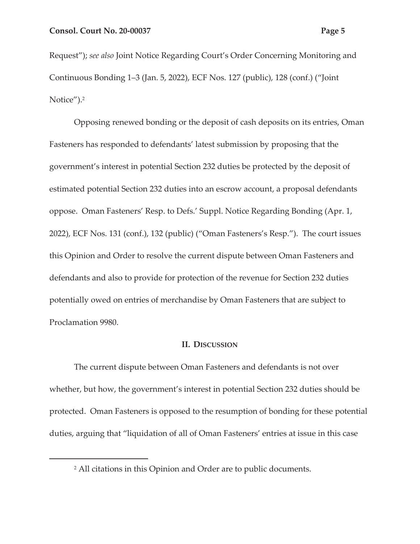Request"); *see also* Joint Notice Regarding Court's Order Concerning Monitoring and Continuous Bonding 1–3 (Jan. 5, 2022), ECF Nos. 127 (public), 128 (conf.) ("Joint

Notice").2

Opposing renewed bonding or the deposit of cash deposits on its entries, Oman Fasteners has responded to defendants' latest submission by proposing that the government's interest in potential Section 232 duties be protected by the deposit of estimated potential Section 232 duties into an escrow account, a proposal defendants oppose. Oman Fasteners' Resp. to Defs.' Suppl. Notice Regarding Bonding (Apr. 1, 2022), ECF Nos. 131 (conf.), 132 (public) ("Oman Fasteners's Resp."). The court issues this Opinion and Order to resolve the current dispute between Oman Fasteners and defendants and also to provide for protection of the revenue for Section 232 duties potentially owed on entries of merchandise by Oman Fasteners that are subject to Proclamation 9980.

### **II. DISCUSSION**

The current dispute between Oman Fasteners and defendants is not over whether, but how, the government's interest in potential Section 232 duties should be protected. Oman Fasteners is opposed to the resumption of bonding for these potential duties, arguing that "liquidation of all of Oman Fasteners' entries at issue in this case

<sup>2</sup> All citations in this Opinion and Order are to public documents.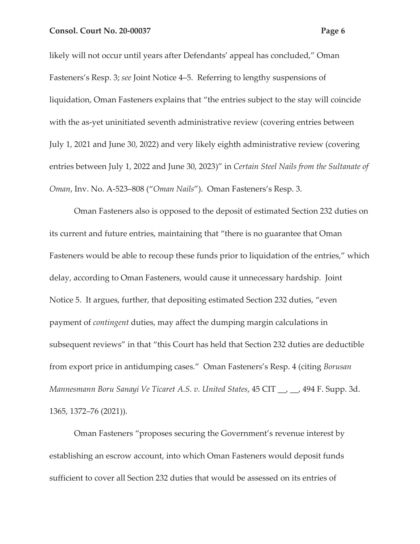likely will not occur until years after Defendants' appeal has concluded," Oman Fasteners's Resp. 3; *see* Joint Notice 4–5. Referring to lengthy suspensions of liquidation, Oman Fasteners explains that "the entries subject to the stay will coincide with the as-yet uninitiated seventh administrative review (covering entries between July 1, 2021 and June 30, 2022) and very likely eighth administrative review (covering entries between July 1, 2022 and June 30, 2023)" in *Certain Steel Nails from the Sultanate of Oman*, Inv. No. A-523–808 ("*Oman Nails*"). Oman Fasteners's Resp. 3.

Oman Fasteners also is opposed to the deposit of estimated Section 232 duties on its current and future entries, maintaining that "there is no guarantee that Oman Fasteners would be able to recoup these funds prior to liquidation of the entries," which delay, according to Oman Fasteners, would cause it unnecessary hardship. Joint Notice 5. It argues, further, that depositing estimated Section 232 duties, "even payment of *contingent* duties, may affect the dumping margin calculations in subsequent reviews" in that "this Court has held that Section 232 duties are deductible from export price in antidumping cases." Oman Fasteners's Resp. 4 (citing *Borusan Mannesmann Boru Sanayi Ve Ticaret A.S. v. United States*, 45 CIT \_\_, \_\_, 494 F. Supp. 3d. 1365, 1372–76 (2021)).

Oman Fasteners "proposes securing the Government's revenue interest by establishing an escrow account, into which Oman Fasteners would deposit funds sufficient to cover all Section 232 duties that would be assessed on its entries of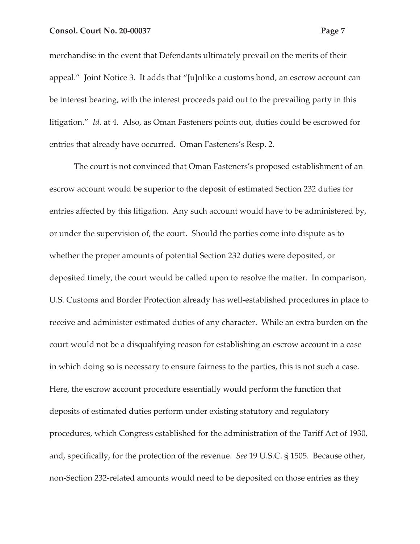merchandise in the event that Defendants ultimately prevail on the merits of their appeal." Joint Notice 3. It adds that "[u]nlike a customs bond, an escrow account can be interest bearing, with the interest proceeds paid out to the prevailing party in this litigation." *Id.* at 4. Also, as Oman Fasteners points out, duties could be escrowed for entries that already have occurred. Oman Fasteners's Resp. 2.

The court is not convinced that Oman Fasteners's proposed establishment of an escrow account would be superior to the deposit of estimated Section 232 duties for entries affected by this litigation. Any such account would have to be administered by, or under the supervision of, the court. Should the parties come into dispute as to whether the proper amounts of potential Section 232 duties were deposited, or deposited timely, the court would be called upon to resolve the matter. In comparison, U.S. Customs and Border Protection already has well-established procedures in place to receive and administer estimated duties of any character. While an extra burden on the court would not be a disqualifying reason for establishing an escrow account in a case in which doing so is necessary to ensure fairness to the parties, this is not such a case. Here, the escrow account procedure essentially would perform the function that deposits of estimated duties perform under existing statutory and regulatory procedures, which Congress established for the administration of the Tariff Act of 1930, and, specifically, for the protection of the revenue. *See* 19 U.S.C. § 1505. Because other, non-Section 232-related amounts would need to be deposited on those entries as they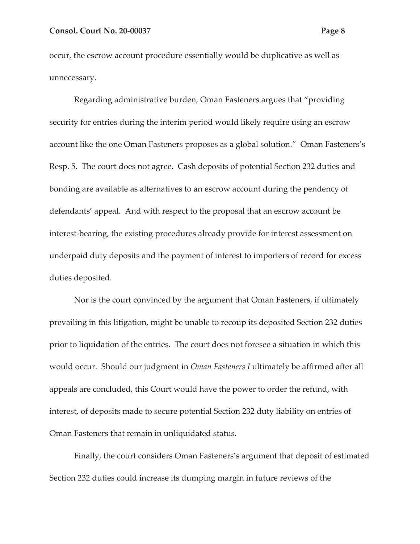occur, the escrow account procedure essentially would be duplicative as well as unnecessary.

Regarding administrative burden, Oman Fasteners argues that "providing security for entries during the interim period would likely require using an escrow account like the one Oman Fasteners proposes as a global solution." Oman Fasteners's Resp. 5. The court does not agree. Cash deposits of potential Section 232 duties and bonding are available as alternatives to an escrow account during the pendency of defendants' appeal. And with respect to the proposal that an escrow account be interest-bearing, the existing procedures already provide for interest assessment on underpaid duty deposits and the payment of interest to importers of record for excess duties deposited.

Nor is the court convinced by the argument that Oman Fasteners, if ultimately prevailing in this litigation, might be unable to recoup its deposited Section 232 duties prior to liquidation of the entries. The court does not foresee a situation in which this would occur. Should our judgment in *Oman Fasteners I* ultimately be affirmed after all appeals are concluded, this Court would have the power to order the refund, with interest, of deposits made to secure potential Section 232 duty liability on entries of Oman Fasteners that remain in unliquidated status.

Finally, the court considers Oman Fasteners's argument that deposit of estimated Section 232 duties could increase its dumping margin in future reviews of the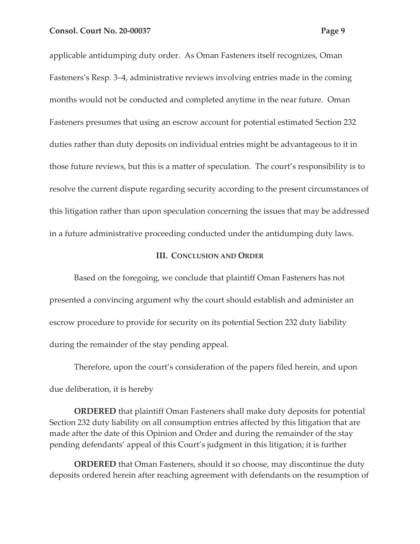applicable antidumping duty order. As Oman Fasteners itself recognizes, Oman Fasteners's Resp. 3–4, administrative reviews involving entries made in the coming months would not be conducted and completed anytime in the near future. Oman Fasteners presumes that using an escrow account for potential estimated Section 232 duties rather than duty deposits on individual entries might be advantageous to it in those future reviews, but this is a matter of speculation. The court's responsibility is to resolve the current dispute regarding security according to the present circumstances of this litigation rather than upon speculation concerning the issues that may be addressed in a future administrative proceeding conducted under the antidumping duty laws.

#### **III. CONCLUSION AND ORDER**

Based on the foregoing, we conclude that plaintiff Oman Fasteners has not presented a convincing argument why the court should establish and administer an escrow procedure to provide for security on its potential Section 232 duty liability during the remainder of the stay pending appeal.

Therefore, upon the court's consideration of the papers filed herein, and upon due deliberation, it is hereby

**ORDERED** that plaintiff Oman Fasteners shall make duty deposits for potential Section 232 duty liability on all consumption entries affected by this litigation that are made after the date of this Opinion and Order and during the remainder of the stay pending defendants' appeal of this Court's judgment in this litigation; it is further

**ORDERED** that Oman Fasteners, should it so choose, may discontinue the duty deposits ordered herein after reaching agreement with defendants on the resumption of